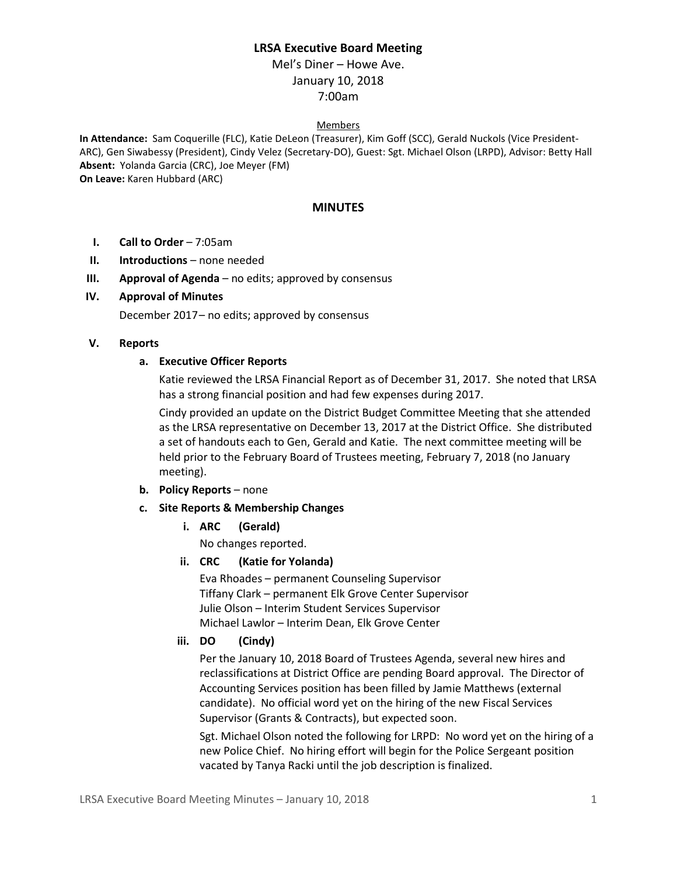# **LRSA Executive Board Meeting**

Mel's Diner – Howe Ave. January 10, 2018 7:00am

#### Members

**In Attendance:** Sam Coquerille (FLC), Katie DeLeon (Treasurer), Kim Goff (SCC), Gerald Nuckols (Vice President-ARC), Gen Siwabessy (President), Cindy Velez (Secretary-DO), Guest: Sgt. Michael Olson (LRPD), Advisor: Betty Hall **Absent:** Yolanda Garcia (CRC), Joe Meyer (FM) **On Leave:** Karen Hubbard (ARC)

#### **MINUTES**

- **I. Call to Order** 7:05am
- **II. Introductions** none needed
- **III. Approval of Agenda** no edits; approved by consensus

#### **IV. Approval of Minutes**

December 2017– no edits; approved by consensus

#### **V. Reports**

#### **a. Executive Officer Reports**

Katie reviewed the LRSA Financial Report as of December 31, 2017. She noted that LRSA has a strong financial position and had few expenses during 2017.

Cindy provided an update on the District Budget Committee Meeting that she attended as the LRSA representative on December 13, 2017 at the District Office. She distributed a set of handouts each to Gen, Gerald and Katie. The next committee meeting will be held prior to the February Board of Trustees meeting, February 7, 2018 (no January meeting).

- **b. Policy Reports** none
- **c. Site Reports & Membership Changes**
	- **i. ARC (Gerald)**

No changes reported.

**ii. CRC (Katie for Yolanda)**

Eva Rhoades – permanent Counseling Supervisor Tiffany Clark – permanent Elk Grove Center Supervisor Julie Olson – Interim Student Services Supervisor Michael Lawlor – Interim Dean, Elk Grove Center

### **iii. DO (Cindy)**

Per the January 10, 2018 Board of Trustees Agenda, several new hires and reclassifications at District Office are pending Board approval. The Director of Accounting Services position has been filled by Jamie Matthews (external candidate). No official word yet on the hiring of the new Fiscal Services Supervisor (Grants & Contracts), but expected soon.

Sgt. Michael Olson noted the following for LRPD: No word yet on the hiring of a new Police Chief. No hiring effort will begin for the Police Sergeant position vacated by Tanya Racki until the job description is finalized.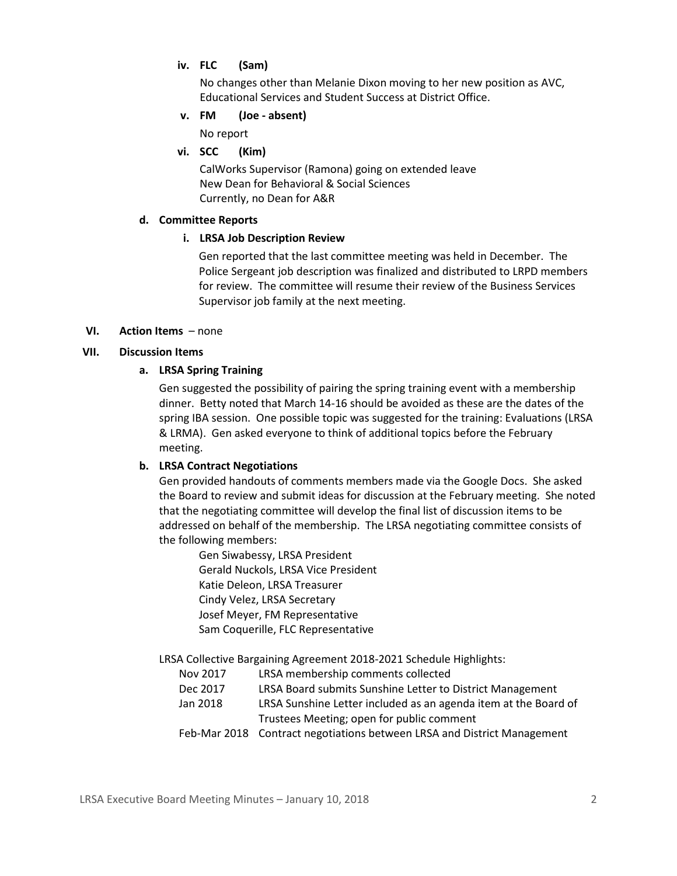# **iv. FLC (Sam)**

No changes other than Melanie Dixon moving to her new position as AVC, Educational Services and Student Success at District Office.

### **v. FM (Joe - absent)**

No report

### **vi. SCC (Kim)**

CalWorks Supervisor (Ramona) going on extended leave New Dean for Behavioral & Social Sciences Currently, no Dean for A&R

#### **d. Committee Reports**

### **i. LRSA Job Description Review**

Gen reported that the last committee meeting was held in December. The Police Sergeant job description was finalized and distributed to LRPD members for review. The committee will resume their review of the Business Services Supervisor job family at the next meeting.

### **VI. Action Items** – none

### **VII. Discussion Items**

### **a. LRSA Spring Training**

Gen suggested the possibility of pairing the spring training event with a membership dinner. Betty noted that March 14-16 should be avoided as these are the dates of the spring IBA session. One possible topic was suggested for the training: Evaluations (LRSA & LRMA). Gen asked everyone to think of additional topics before the February meeting.

### **b. LRSA Contract Negotiations**

Gen provided handouts of comments members made via the Google Docs. She asked the Board to review and submit ideas for discussion at the February meeting. She noted that the negotiating committee will develop the final list of discussion items to be addressed on behalf of the membership. The LRSA negotiating committee consists of the following members:

Gen Siwabessy, LRSA President Gerald Nuckols, LRSA Vice President Katie Deleon, LRSA Treasurer Cindy Velez, LRSA Secretary Josef Meyer, FM Representative Sam Coquerille, FLC Representative

LRSA Collective Bargaining Agreement 2018-2021 Schedule Highlights:

- Nov 2017 LRSA membership comments collected
- Dec 2017 LRSA Board submits Sunshine Letter to District Management
- Jan 2018 LRSA Sunshine Letter included as an agenda item at the Board of Trustees Meeting; open for public comment
- Feb-Mar 2018 Contract negotiations between LRSA and District Management